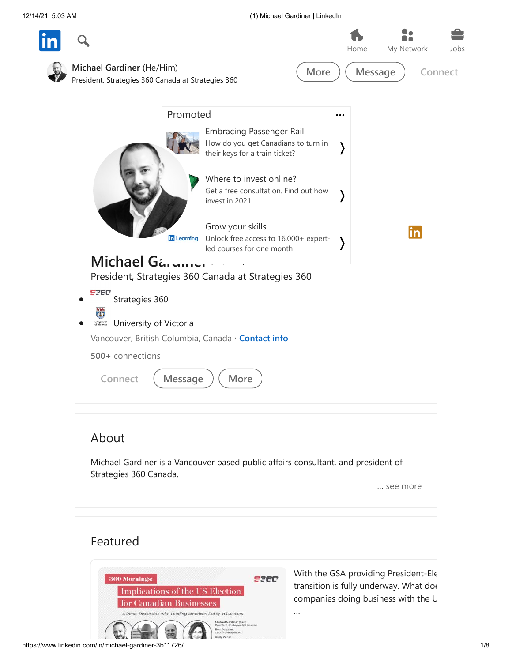12/14/21, 5:03 AM (1) Michael Gardiner | LinkedIn



[With the GSA providing President-Ele](https://www.linkedin.com/feed/update/urn:li:activity:6737402584669257728/) transition is fully underway. What doe companies doing business with the U

…

**SPED** 

360 Mornings:

Implications of the US Election

Policy Influe

for Canadian Businesses A Panel Discussion with Leading Am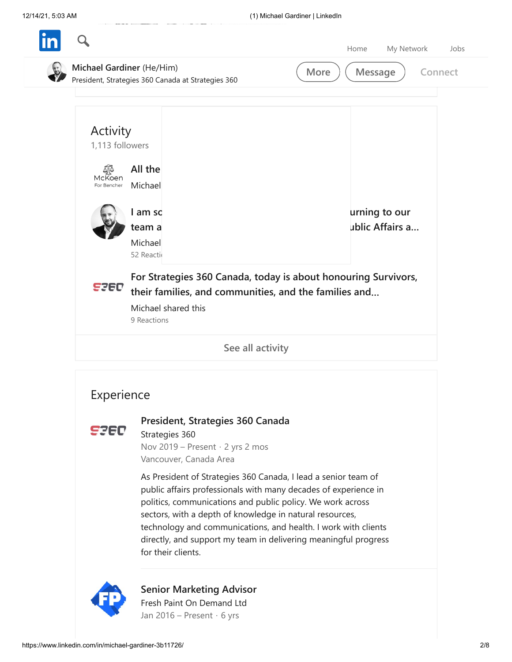|                 | Michael Gardiner (He/Him)<br>President, Strategies 360 Canada at Strategies 360 | More | <b>Message</b><br>Connect |
|-----------------|---------------------------------------------------------------------------------|------|---------------------------|
| Activity        |                                                                                 |      |                           |
| 1,113 followers |                                                                                 |      |                           |
| ණි<br>McKoen    | All the                                                                         |      |                           |
| For Bencher     | Michael                                                                         |      |                           |
|                 | I am so                                                                         |      | urning to our             |
|                 | team a                                                                          |      | ublic Affairs a           |
|                 | Michael<br>52 Reactio                                                           |      |                           |
|                 | For Strategies 360 Canada, today is about honouring Survivors,                  |      |                           |
| <b>ESED</b>     | their families, and communities, and the families and                           |      |                           |
|                 | Michael shared this<br>9 Reactions                                              |      |                           |
|                 | See all activity                                                                |      |                           |

## 5360

## **[President, Strategies 360 Canada](https://www.linkedin.com/company/strategies-360/)**

Strategies 360 Nov 2019 – Present · 2 yrs 2 mos Vancouver, Canada Area

As President of Strategies 360 Canada, I lead a senior team of public affairs professionals with many decades of experience in politics, communications and public policy. We work across sectors, with a depth of knowledge in natural resources, technology and communications, and health. I work with clients directly, and support my team in delivering meaningful progress for their clients.



**[Senior Marketing Advisor](https://www.linkedin.com/company/freshpaint/)** Fresh Paint On Demand Ltd Jan 2016 – Present · 6 yrs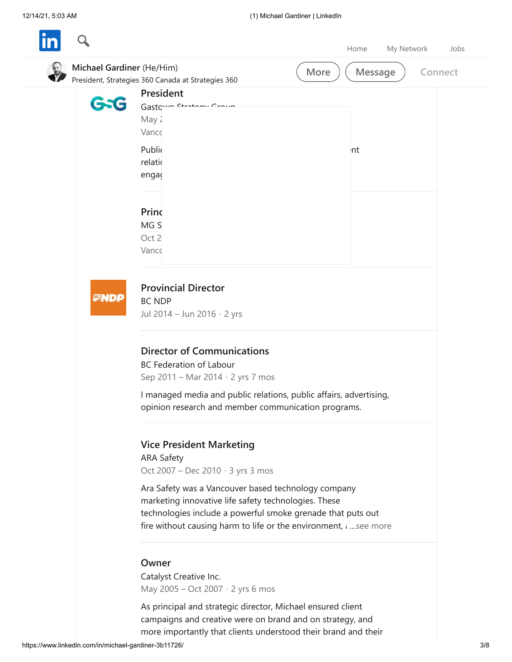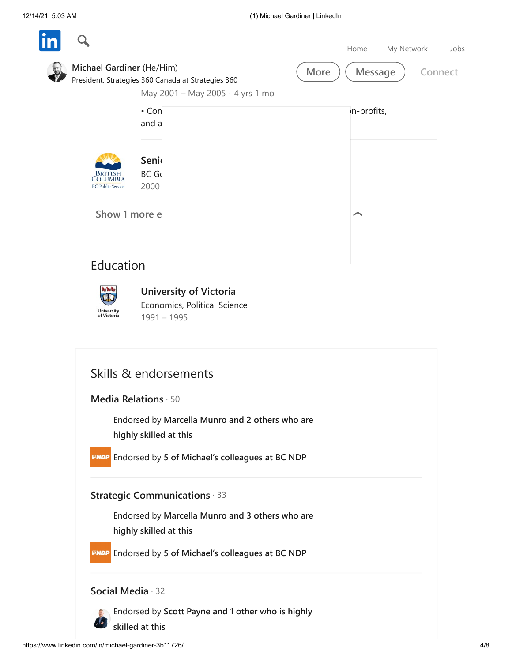|                                         |                                                                                                                 | Home            | My Network<br>Jobs |
|-----------------------------------------|-----------------------------------------------------------------------------------------------------------------|-----------------|--------------------|
| Michael Gardiner (He/Him)               | President, Strategies 360 Canada at Strategies 360                                                              | Message<br>More | Connect            |
|                                         | May 2001 - May 2005 · 4 yrs 1 mo<br>$\cdot$ Con<br>and a                                                        | n-profits,      |                    |
| COLUMBIA<br><b>BC Public Service</b>    | Senio<br><b>BC Go</b><br>2000                                                                                   |                 |                    |
| Show 1 more e                           |                                                                                                                 |                 |                    |
| Education                               |                                                                                                                 |                 |                    |
| 新新市<br><b>University</b><br>of Victoria | <b>University of Victoria</b><br>Economics, Political Science<br>$1991 - 1995$                                  |                 |                    |
|                                         | Skills & endorsements                                                                                           |                 |                    |
|                                         | Media Relations · 50                                                                                            |                 |                    |
|                                         | Endorsed by Marcella Munro and 2 others who are<br>highly skilled at this                                       |                 |                    |
|                                         | <b>ENDP</b> Endorsed by 5 of Michael's colleagues at BC NDP                                                     |                 |                    |
|                                         | <b>Strategic Communications 33</b><br>Endorsed by Marcella Munro and 3 others who are<br>highly skilled at this |                 |                    |
|                                         | <b>ENDP</b> Endorsed by 5 of Michael's colleagues at BC NDP                                                     |                 |                    |
| Social Media · 32                       | Endorsed by Scott Payne and 1 other who is highly                                                               |                 |                    |
|                                         | skilled at this                                                                                                 |                 |                    |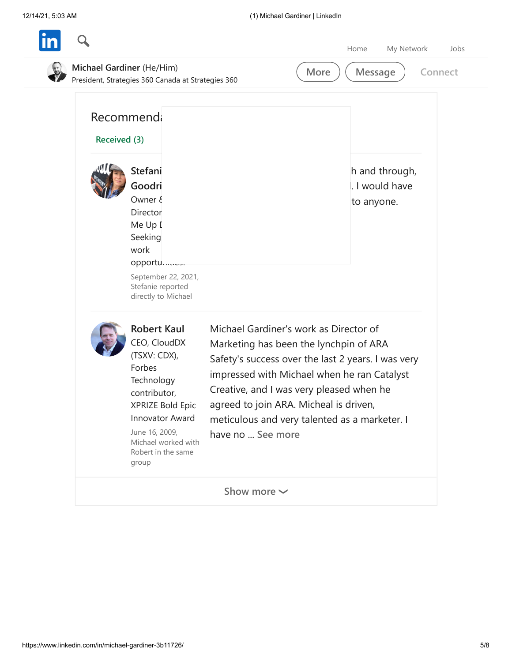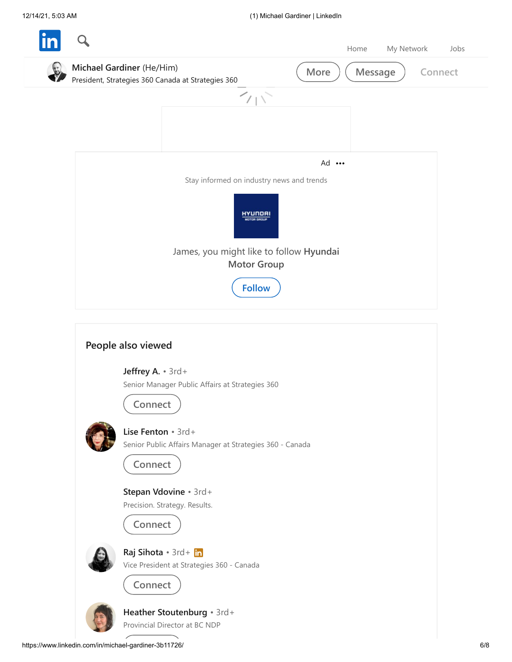

**[Heather Stoutenburg](https://www.linkedin.com/in/heatherwritesstuff/)** • 3rd+ Provincial Director at BC NDP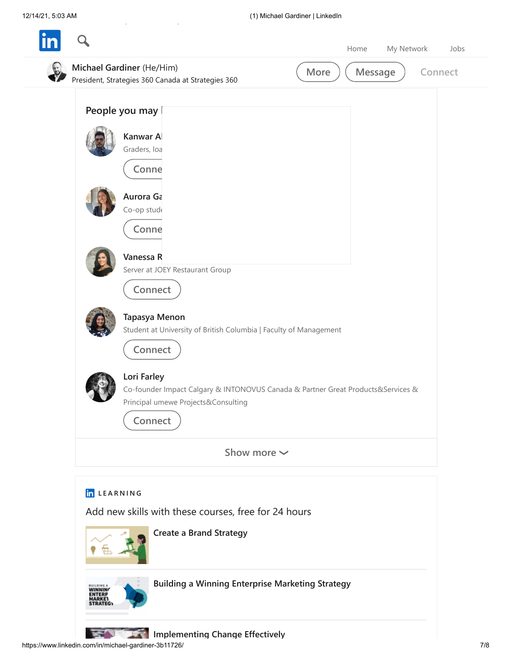|             | Michael Gardiner (He/Him)<br>President, Strategies 360 Canada at Strategies 360<br>People you may                                                        | More                                                    | Message<br>Connect |
|-------------|----------------------------------------------------------------------------------------------------------------------------------------------------------|---------------------------------------------------------|--------------------|
|             | Kanwar Al<br>Graders, loa<br>Conne                                                                                                                       |                                                         |                    |
|             | Aurora Ga<br>Co-op stude<br>Conne                                                                                                                        |                                                         |                    |
|             | Vanessa R<br>Server at JOEY Restaurant Group<br>Connect                                                                                                  |                                                         |                    |
|             | Tapasya Menon<br>Student at University of British Columbia   Faculty of Management<br>Connect                                                            |                                                         |                    |
|             | Lori Farley<br>Co-founder Impact Calgary & INTONOVUS Canada & Partner Great Products&Services &<br>Principal umewe Projects&Consulting<br><b>Connect</b> |                                                         |                    |
|             |                                                                                                                                                          | Show more $\sim$                                        |                    |
| in LEARNING | Add new skills with these courses, free for 24 hours<br><b>Create a Brand Strategy</b>                                                                   |                                                         |                    |
|             |                                                                                                                                                          | <b>Building a Winning Enterprise Marketing Strategy</b> |                    |